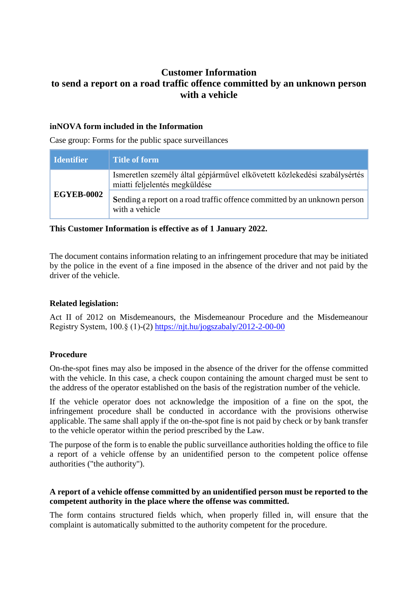# **Customer Information to send a report on a road traffic offence committed by an unknown person with a vehicle**

# **inNOVA form included in the Information**

Case group: Forms for the public space surveillances

| <b>Identifier</b> | <b>Title of form</b>                                                                                       |
|-------------------|------------------------------------------------------------------------------------------------------------|
| <b>EGYEB-0002</b> | Ismeretlen személy által gépjárművel elkövetett közlekedési szabálysértés<br>miatti feljelentés megküldése |
|                   | Sending a report on a road traffic offence committed by an unknown person<br>with a vehicle                |

# **This Customer Information is effective as of 1 January 2022.**

The document contains information relating to an infringement procedure that may be initiated by the police in the event of a fine imposed in the absence of the driver and not paid by the driver of the vehicle.

# **Related legislation:**

Act II of 2012 on Misdemeanours, the Misdemeanour Procedure and the Misdemeanour Registry System, 100.§ (1)-(2) <https://njt.hu/jogszabaly/2012-2-00-00>

#### **Procedure**

On-the-spot fines may also be imposed in the absence of the driver for the offense committed with the vehicle. In this case, a check coupon containing the amount charged must be sent to the address of the operator established on the basis of the registration number of the vehicle.

If the vehicle operator does not acknowledge the imposition of a fine on the spot, the infringement procedure shall be conducted in accordance with the provisions otherwise applicable. The same shall apply if the on-the-spot fine is not paid by check or by bank transfer to the vehicle operator within the period prescribed by the Law.

The purpose of the form is to enable the public surveillance authorities holding the office to file a report of a vehicle offense by an unidentified person to the competent police offense authorities ("the authority").

# **A report of a vehicle offense committed by an unidentified person must be reported to the competent authority in the place where the offense was committed.**

The form contains structured fields which, when properly filled in, will ensure that the complaint is automatically submitted to the authority competent for the procedure.